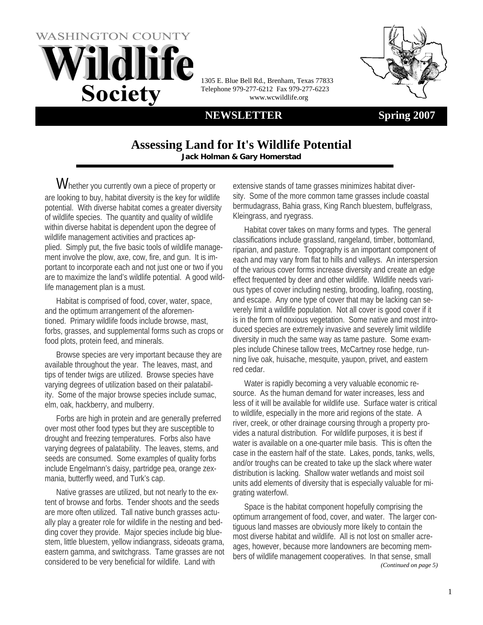



1305 E. Blue Bell Rd., Brenham, Texas 77833 Telephone 979-277-6212 Fax 979-277-6223 www.wcwildlife.org

#### **NEWSLETTER** Spring 2007

#### **Assessing Land for It's Wildlife Potential Jack Holman & Gary Homerstad**

Whether you currently own a piece of property or are looking to buy, habitat diversity is the key for wildlife potential. With diverse habitat comes a greater diversity of wildlife species. The quantity and quality of wildlife within diverse habitat is dependent upon the degree of wildlife management activities and practices applied. Simply put, the five basic tools of wildlife management involve the plow, axe, cow, fire, and gun. It is important to incorporate each and not just one or two if you are to maximize the land's wildlife potential. A good wildlife management plan is a must.

Habitat is comprised of food, cover, water, space, and the optimum arrangement of the aforementioned. Primary wildlife foods include browse, mast, forbs, grasses, and supplemental forms such as crops or food plots, protein feed, and minerals.

Browse species are very important because they are available throughout the year. The leaves, mast, and tips of tender twigs are utilized. Browse species have varying degrees of utilization based on their palatability. Some of the major browse species include sumac, elm, oak, hackberry, and mulberry.

Forbs are high in protein and are generally preferred over most other food types but they are susceptible to drought and freezing temperatures. Forbs also have varying degrees of palatability. The leaves, stems, and seeds are consumed. Some examples of quality forbs include Engelmann's daisy, partridge pea, orange zexmania, butterfly weed, and Turk's cap.

Native grasses are utilized, but not nearly to the extent of browse and forbs. Tender shoots and the seeds are more often utilized. Tall native bunch grasses actually play a greater role for wildlife in the nesting and bedding cover they provide. Major species include big bluestem, little bluestem, yellow indiangrass, sideoats grama, eastern gamma, and switchgrass. Tame grasses are not considered to be very beneficial for wildlife. Land with

extensive stands of tame grasses minimizes habitat diversity. Some of the more common tame grasses include coastal bermudagrass, Bahia grass, King Ranch bluestem, buffelgrass, Kleingrass, and ryegrass.

Habitat cover takes on many forms and types. The general classifications include grassland, rangeland, timber, bottomland, riparian, and pasture. Topography is an important component of each and may vary from flat to hills and valleys. An interspersion of the various cover forms increase diversity and create an edge effect frequented by deer and other wildlife. Wildlife needs various types of cover including nesting, brooding, loafing, roosting, and escape. Any one type of cover that may be lacking can severely limit a wildlife population. Not all cover is good cover if it is in the form of noxious vegetation. Some native and most introduced species are extremely invasive and severely limit wildlife diversity in much the same way as tame pasture. Some examples include Chinese tallow trees, McCartney rose hedge, running live oak, huisache, mesquite, yaupon, privet, and eastern red cedar.

Water is rapidly becoming a very valuable economic resource. As the human demand for water increases, less and less of it will be available for wildlife use. Surface water is critical to wildlife, especially in the more arid regions of the state. A river, creek, or other drainage coursing through a property provides a natural distribution. For wildlife purposes, it is best if water is available on a one-quarter mile basis. This is often the case in the eastern half of the state. Lakes, ponds, tanks, wells, and/or troughs can be created to take up the slack where water distribution is lacking. Shallow water wetlands and moist soil units add elements of diversity that is especially valuable for migrating waterfowl.

Space is the habitat component hopefully comprising the optimum arrangement of food, cover, and water. The larger contiguous land masses are obviously more likely to contain the most diverse habitat and wildlife. All is not lost on smaller acreages, however, because more landowners are becoming members of wildlife management cooperatives. In that sense, small *(Continued on page 5)*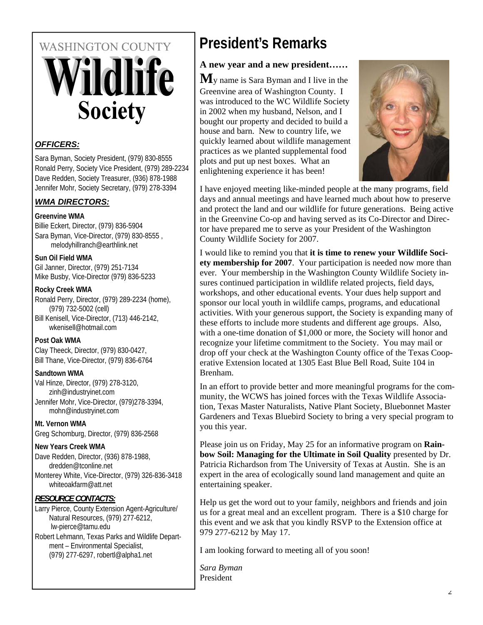# **WASHINGTON COUNTY** *Fildlife* **Society**

#### *OFFICERS:*

Sara Byman, Society President, (979) 830-8555 Ronald Perry, Society Vice President, (979) 289-2234 Dave Redden, Society Treasurer, (936) 878-1988 Jennifer Mohr, Society Secretary, (979) 278-3394

#### *WMA DIRECTORS:*

#### **Greenvine WMA**

Billie Eckert, Director, (979) 836-5904 Sara Byman, Vice-Director, (979) 830-8555 , melodyhillranch@earthlink.net

#### **Sun Oil Field WMA**

Gil Janner, Director, (979) 251-7134 Mike Busby, Vice-Director (979) 836-5233

#### **Rocky Creek WMA**

Ronald Perry, Director, (979) 289-2234 (home), (979) 732-5002 (cell)

Bill Kenisell, Vice-Director, (713) 446-2142, wkenisell@hotmail.com

#### **Post Oak WMA**

Clay Theeck, Director, (979) 830-0427, Bill Thane, Vice-Director, (979) 836-6764

#### **Sandtown WMA**

Val Hinze, Director, (979) 278-3120, zinh@industryinet.com Jennifer Mohr, Vice-Director, (979)278-3394, mohn@industryinet.com

#### **Mt. Vernon WMA**

Greg Schomburg, Director, (979) 836-2568

#### **New Years Creek WMA**

Dave Redden, Director, (936) 878-1988, dredden@tconline.net Monterey White, Vice-Director, (979) 326-836-3418 whiteoakfarm@att.net

#### *RESOURCE CONTACTS:*

Larry Pierce, County Extension Agent-Agriculture/ Natural Resources, (979) 277-6212, lw-pierce@tamu.edu Robert Lehmann, Texas Parks and Wildlife Depart-

ment – Environmental Specialist, (979) 277-6297, robertl@alpha1.net

# **President's Remarks**

#### **A new year and a new president……**

**M**y name is Sara Byman and I live in the Greenvine area of Washington County. I was introduced to the WC Wildlife Society in 2002 when my husband, Nelson, and I bought our property and decided to build a house and barn. New to country life, we quickly learned about wildlife management practices as we planted supplemental food plots and put up nest boxes. What an enlightening experience it has been!



I have enjoyed meeting like-minded people at the many programs, field days and annual meetings and have learned much about how to preserve and protect the land and our wildlife for future generations. Being active in the Greenvine Co-op and having served as its Co-Director and Director have prepared me to serve as your President of the Washington County Wildlife Society for 2007.

I would like to remind you that **it is time to renew your Wildlife Society membership for 2007**. Your participation is needed now more than ever. Your membership in the Washington County Wildlife Society insures continued participation in wildlife related projects, field days, workshops, and other educational events. Your dues help support and sponsor our local youth in wildlife camps, programs, and educational activities. With your generous support, the Society is expanding many of these efforts to include more students and different age groups. Also, with a one-time donation of \$1,000 or more, the Society will honor and recognize your lifetime commitment to the Society. You may mail or drop off your check at the Washington County office of the Texas Cooperative Extension located at 1305 East Blue Bell Road, Suite 104 in Brenham.

In an effort to provide better and more meaningful programs for the community, the WCWS has joined forces with the Texas Wildlife Association, Texas Master Naturalists, Native Plant Society, Bluebonnet Master Gardeners and Texas Bluebird Society to bring a very special program to you this year.

Please join us on Friday, May 25 for an informative program on **Rainbow Soil: Managing for the Ultimate in Soil Quality** presented by Dr. Patricia Richardson from The University of Texas at Austin. She is an expert in the area of ecologically sound land management and quite an entertaining speaker.

Help us get the word out to your family, neighbors and friends and join us for a great meal and an excellent program. There is a \$10 charge for this event and we ask that you kindly RSVP to the Extension office at 979 277-6212 by May 17.

I am looking forward to meeting all of you soon!

*Sara Byman* President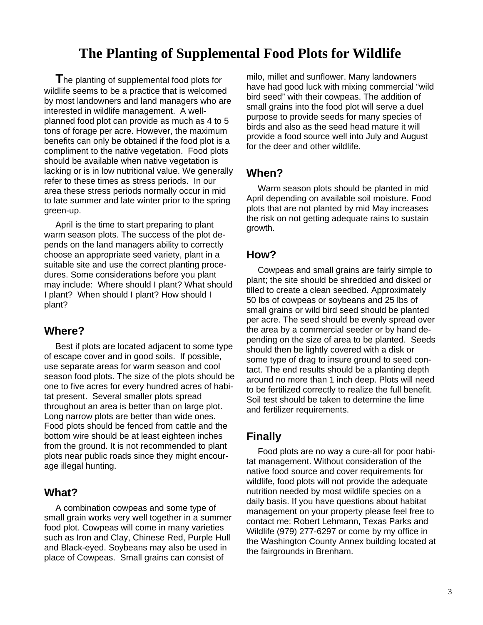## **The Planting of Supplemental Food Plots for Wildlife**

**T**he planting of supplemental food plots for wildlife seems to be a practice that is welcomed by most landowners and land managers who are interested in wildlife management. A wellplanned food plot can provide as much as 4 to 5 tons of forage per acre. However, the maximum benefits can only be obtained if the food plot is a compliment to the native vegetation. Food plots should be available when native vegetation is lacking or is in low nutritional value. We generally refer to these times as stress periods. In our area these stress periods normally occur in mid to late summer and late winter prior to the spring green-up.

April is the time to start preparing to plant warm season plots. The success of the plot depends on the land managers ability to correctly choose an appropriate seed variety, plant in a suitable site and use the correct planting procedures. Some considerations before you plant may include: Where should I plant? What should I plant? When should I plant? How should I plant?

#### **Where?**

Best if plots are located adjacent to some type of escape cover and in good soils. If possible, use separate areas for warm season and cool season food plots. The size of the plots should be one to five acres for every hundred acres of habitat present. Several smaller plots spread throughout an area is better than on large plot. Long narrow plots are better than wide ones. Food plots should be fenced from cattle and the bottom wire should be at least eighteen inches from the ground. It is not recommended to plant plots near public roads since they might encourage illegal hunting.

#### **What?**

A combination cowpeas and some type of small grain works very well together in a summer food plot. Cowpeas will come in many varieties such as Iron and Clay, Chinese Red, Purple Hull and Black-eyed. Soybeans may also be used in place of Cowpeas. Small grains can consist of

milo, millet and sunflower. Many landowners have had good luck with mixing commercial "wild bird seed" with their cowpeas. The addition of small grains into the food plot will serve a duel purpose to provide seeds for many species of birds and also as the seed head mature it will provide a food source well into July and August for the deer and other wildlife.

#### **When?**

Warm season plots should be planted in mid April depending on available soil moisture. Food plots that are not planted by mid May increases the risk on not getting adequate rains to sustain growth.

#### **How?**

Cowpeas and small grains are fairly simple to plant; the site should be shredded and disked or tilled to create a clean seedbed. Approximately 50 lbs of cowpeas or soybeans and 25 lbs of small grains or wild bird seed should be planted per acre. The seed should be evenly spread over the area by a commercial seeder or by hand depending on the size of area to be planted. Seeds should then be lightly covered with a disk or some type of drag to insure ground to seed contact. The end results should be a planting depth around no more than 1 inch deep. Plots will need to be fertilized correctly to realize the full benefit. Soil test should be taken to determine the lime and fertilizer requirements.

#### **Finally**

Food plots are no way a cure-all for poor habitat management. Without consideration of the native food source and cover requirements for wildlife, food plots will not provide the adequate nutrition needed by most wildlife species on a daily basis. If you have questions about habitat management on your property please feel free to contact me: Robert Lehmann, Texas Parks and Wildlife (979) 277-6297 or come by my office in the Washington County Annex building located at the fairgrounds in Brenham.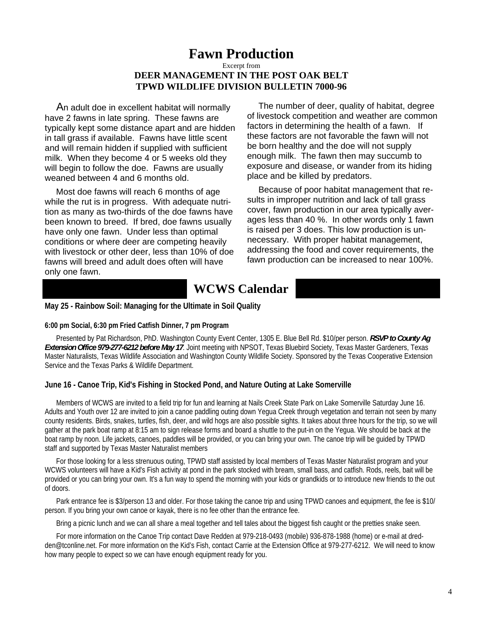### **Fawn Production**

#### Excerpt from **DEER MANAGEMENT IN THE POST OAK BELT TPWD WILDLIFE DIVISION BULLETIN 7000-96**

An adult doe in excellent habitat will normally have 2 fawns in late spring. These fawns are typically kept some distance apart and are hidden in tall grass if available. Fawns have little scent and will remain hidden if supplied with sufficient milk. When they become 4 or 5 weeks old they will begin to follow the doe. Fawns are usually weaned between 4 and 6 months old.

Most doe fawns will reach 6 months of age while the rut is in progress. With adequate nutrition as many as two-thirds of the doe fawns have been known to breed. If bred, doe fawns usually have only one fawn. Under less than optimal conditions or where deer are competing heavily with livestock or other deer, less than 10% of doe fawns will breed and adult does often will have only one fawn.

The number of deer, quality of habitat, degree of livestock competition and weather are common factors in determining the health of a fawn. If these factors are not favorable the fawn will not be born healthy and the doe will not supply enough milk. The fawn then may succumb to exposure and disease, or wander from its hiding place and be killed by predators.

Because of poor habitat management that results in improper nutrition and lack of tall grass cover, fawn production in our area typically averages less than 40 %. In other words only 1 fawn is raised per 3 does. This low production is unnecessary. With proper habitat management, addressing the food and cover requirements, the fawn production can be increased to near 100%.

### **WCWS Calendar**

#### **May 25 - Rainbow Soil: Managing for the Ultimate in Soil Quality**

#### **6:00 pm Social, 6:30 pm Fried Catfish Dinner, 7 pm Program**

Presented by Pat Richardson, PhD. Washington County Event Center, 1305 E. Blue Bell Rd. \$10/per person. *RSVP to County Ag Extension Office 979-277-6212 before May 17*. Joint meeting with NPSOT, Texas Bluebird Society, Texas Master Gardeners, Texas Master Naturalists, Texas Wildlife Association and Washington County Wildlife Society. Sponsored by the Texas Cooperative Extension Service and the Texas Parks & Wildlife Department.

#### **June 16 - Canoe Trip, Kid's Fishing in Stocked Pond, and Nature Outing at Lake Somerville**

Members of WCWS are invited to a field trip for fun and learning at Nails Creek State Park on Lake Somerville Saturday June 16. Adults and Youth over 12 are invited to join a canoe paddling outing down Yegua Creek through vegetation and terrain not seen by many county residents. Birds, snakes, turtles, fish, deer, and wild hogs are also possible sights. It takes about three hours for the trip, so we will gather at the park boat ramp at 8:15 am to sign release forms and board a shuttle to the put-in on the Yegua. We should be back at the boat ramp by noon. Life jackets, canoes, paddles will be provided, or you can bring your own. The canoe trip will be guided by TPWD staff and supported by Texas Master Naturalist members

For those looking for a less strenuous outing, TPWD staff assisted by local members of Texas Master Naturalist program and your WCWS volunteers will have a Kid's Fish activity at pond in the park stocked with bream, small bass, and catfish. Rods, reels, bait will be provided or you can bring your own. It's a fun way to spend the morning with your kids or grandkids or to introduce new friends to the out of doors.

Park entrance fee is \$3/person 13 and older. For those taking the canoe trip and using TPWD canoes and equipment, the fee is \$10/ person. If you bring your own canoe or kayak, there is no fee other than the entrance fee.

Bring a picnic lunch and we can all share a meal together and tell tales about the biggest fish caught or the pretties snake seen.

For more information on the Canoe Trip contact Dave Redden at 979-218-0493 (mobile) 936-878-1988 (home) or e-mail at dredden@tconline.net. For more information on the Kid's Fish, contact Carrie at the Extension Office at 979-277-6212. We will need to know how many people to expect so we can have enough equipment ready for you.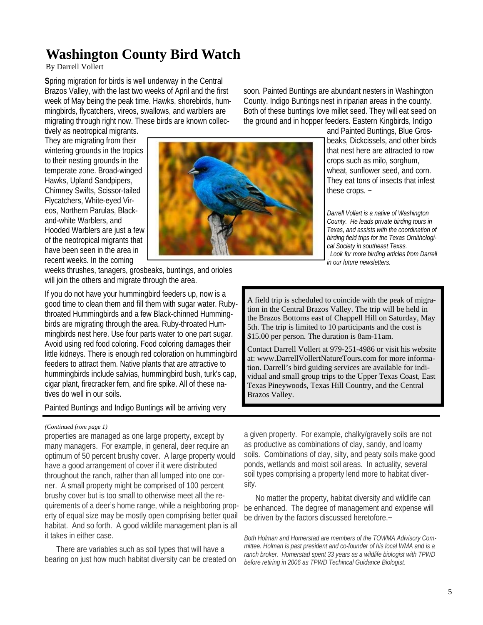# **Washington County Bird Watch**

#### By Darrell Vollert

**S**pring migration for birds is well underway in the Central Brazos Valley, with the last two weeks of April and the first week of May being the peak time. Hawks, shorebirds, hummingbirds, flycatchers, vireos, swallows, and warblers are migrating through right now. These birds are known collec-

tively as neotropical migrants. They are migrating from their wintering grounds in the tropics to their nesting grounds in the temperate zone. Broad-winged Hawks, Upland Sandpipers, Chimney Swifts, Scissor-tailed Flycatchers, White-eyed Vireos, Northern Parulas, Blackand-white Warblers, and Hooded Warblers are just a few of the neotropical migrants that have been seen in the area in recent weeks. In the coming



soon. Painted Buntings are abundant nesters in Washington County. Indigo Buntings nest in riparian areas in the county. Both of these buntings love millet seed. They will eat seed on the ground and in hopper feeders. Eastern Kingbirds, Indigo

> and Painted Buntings, Blue Grosbeaks, Dickcissels, and other birds that nest here are attracted to row crops such as milo, sorghum, wheat, sunflower seed, and corn. They eat tons of insects that infest these crops. ~

*Darrell Vollert is a native of Washington County. He leads private birding tours in Texas, and assists with the coordination of birding field trips for the Texas Ornithological Society in southeast Texas. Look for more birding articles from Darrell in our future newsletters.* 

weeks thrushes, tanagers, grosbeaks, buntings, and orioles will join the others and migrate through the area.

If you do not have your hummingbird feeders up, now is a good time to clean them and fill them with sugar water. Rubythroated Hummingbirds and a few Black-chinned Hummingbirds are migrating through the area. Ruby-throated Hummingbirds nest here. Use four parts water to one part sugar. Avoid using red food coloring. Food coloring damages their little kidneys. There is enough red coloration on hummingbird feeders to attract them. Native plants that are attractive to hummingbirds include salvias, hummingbird bush, turk's cap, cigar plant, firecracker fern, and fire spike. All of these natives do well in our soils.

#### Painted Buntings and Indigo Buntings will be arriving very

#### *(Continued from page 1)*

properties are managed as one large property, except by many managers. For example, in general, deer require an optimum of 50 percent brushy cover. A large property would have a good arrangement of cover if it were distributed throughout the ranch, rather than all lumped into one corner. A small property might be comprised of 100 percent brushy cover but is too small to otherwise meet all the requirements of a deer's home range, while a neighboring property of equal size may be mostly open comprising better quail habitat. And so forth. A good wildlife management plan is all it takes in either case.

There are variables such as soil types that will have a bearing on just how much habitat diversity can be created on A field trip is scheduled to coincide with the peak of migration in the Central Brazos Valley. The trip will be held in the Brazos Bottoms east of Chappell Hill on Saturday, May 5th. The trip is limited to 10 participants and the cost is \$15.00 per person. The duration is 8am-11am.

Contact Darrell Vollert at 979-251-4986 or visit his website at: www.DarrellVollertNatureTours.com for more information. Darrell's bird guiding services are available for individual and small group trips to the Upper Texas Coast, East Texas Pineywoods, Texas Hill Country, and the Central Brazos Valley.

a given property. For example, chalky/gravelly soils are not as productive as combinations of clay, sandy, and loamy soils. Combinations of clay, silty, and peaty soils make good ponds, wetlands and moist soil areas. In actuality, several soil types comprising a property lend more to habitat diversity.

No matter the property, habitat diversity and wildlife can be enhanced. The degree of management and expense will be driven by the factors discussed heretofore.~

*Both Holman and Homerstad are members of the TOWMA Adivisory Committee. Holman is past president and co-founder of his local WMA and is a ranch broker. Homerstad spent 33 years as a wildlife biologist with TPWD before retiring in 2006 as TPWD Techincal Guidance Biologist.*